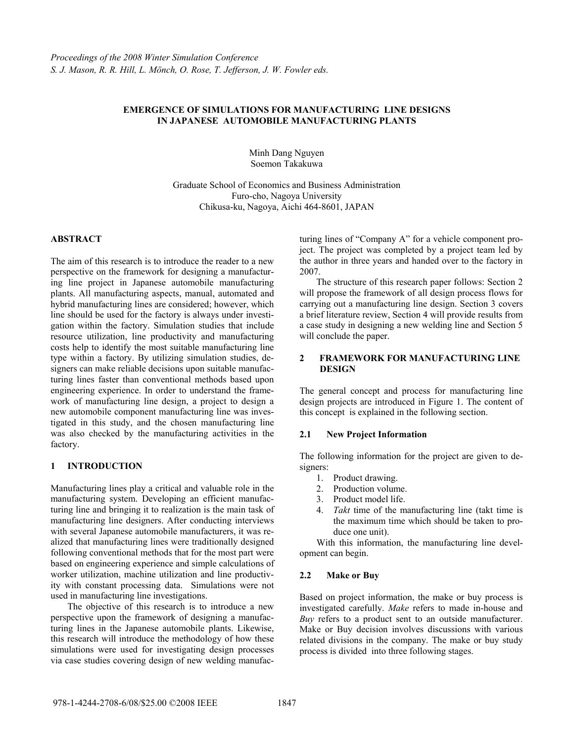# **EMERGENCE OF SIMULATIONS FOR MANUFACTURING LINE DESIGNS IN JAPANESE AUTOMOBILE MANUFACTURING PLANTS**

Minh Dang Nguyen Soemon Takakuwa

Graduate School of Economics and Business Administration Furo-cho, Nagoya University Chikusa-ku, Nagoya, Aichi 464-8601, JAPAN

# **ABSTRACT**

The aim of this research is to introduce the reader to a new perspective on the framework for designing a manufacturing line project in Japanese automobile manufacturing plants. All manufacturing aspects, manual, automated and hybrid manufacturing lines are considered; however, which line should be used for the factory is always under investigation within the factory. Simulation studies that include resource utilization, line productivity and manufacturing costs help to identify the most suitable manufacturing line type within a factory. By utilizing simulation studies, designers can make reliable decisions upon suitable manufacturing lines faster than conventional methods based upon engineering experience. In order to understand the framework of manufacturing line design, a project to design a new automobile component manufacturing line was investigated in this study, and the chosen manufacturing line was also checked by the manufacturing activities in the factory.

### **1 INTRODUCTION**

Manufacturing lines play a critical and valuable role in the manufacturing system. Developing an efficient manufacturing line and bringing it to realization is the main task of manufacturing line designers. After conducting interviews with several Japanese automobile manufacturers, it was realized that manufacturing lines were traditionally designed following conventional methods that for the most part were based on engineering experience and simple calculations of worker utilization, machine utilization and line productivity with constant processing data. Simulations were not used in manufacturing line investigations.

The objective of this research is to introduce a new perspective upon the framework of designing a manufacturing lines in the Japanese automobile plants. Likewise, this research will introduce the methodology of how these simulations were used for investigating design processes via case studies covering design of new welding manufacturing lines of "Company A" for a vehicle component project. The project was completed by a project team led by the author in three years and handed over to the factory in 2007.

The structure of this research paper follows: Section 2 will propose the framework of all design process flows for carrying out a manufacturing line design. Section 3 covers a brief literature review, Section 4 will provide results from a case study in designing a new welding line and Section 5 will conclude the paper.

# **2 FRAMEWORK FOR MANUFACTURING LINE DESIGN**

The general concept and process for manufacturing line design projects are introduced in Figure 1. The content of this concept is explained in the following section.

### **2.1 New Project Information**

The following information for the project are given to designers:

- 1. Product drawing.
- 2. Production volume.
- 3. Product model life.
- 4. *Takt* time of the manufacturing line (takt time is the maximum time which should be taken to produce one unit).

With this information, the manufacturing line development can begin.

### **2.2 Make or Buy**

Based on project information, the make or buy process is investigated carefully. *Make* refers to made in-house and *Buy* refers to a product sent to an outside manufacturer. Make or Buy decision involves discussions with various related divisions in the company. The make or buy study process is divided into three following stages.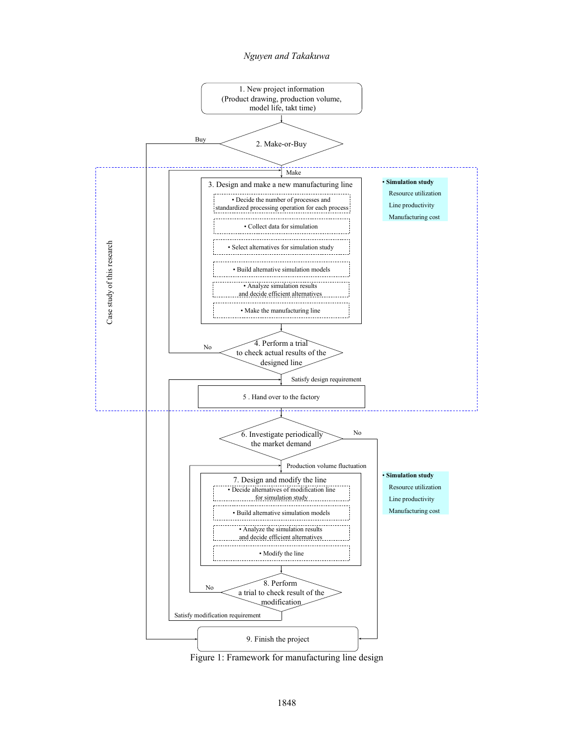

Figure 1: Framework for manufacturing line design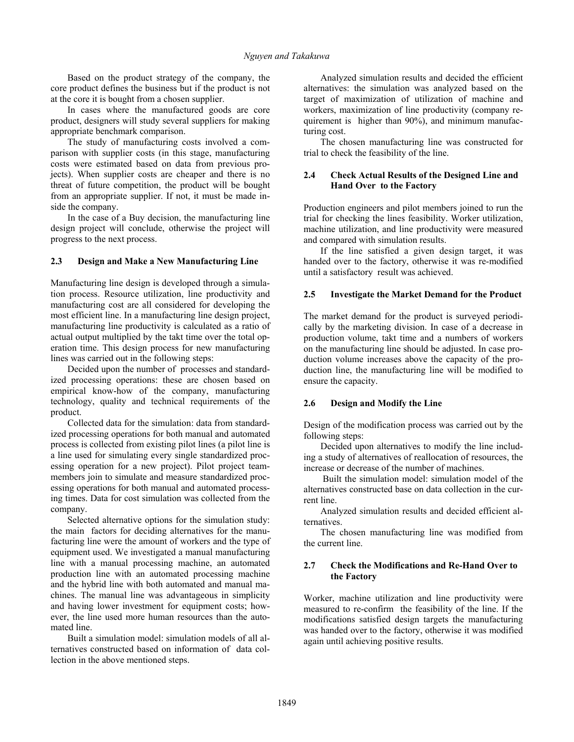Based on the product strategy of the company, the core product defines the business but if the product is not at the core it is bought from a chosen supplier.

In cases where the manufactured goods are core product, designers will study several suppliers for making appropriate benchmark comparison.

The study of manufacturing costs involved a comparison with supplier costs (in this stage, manufacturing costs were estimated based on data from previous projects). When supplier costs are cheaper and there is no threat of future competition, the product will be bought from an appropriate supplier. If not, it must be made inside the company.

In the case of a Buy decision, the manufacturing line design project will conclude, otherwise the project will progress to the next process.

### **2.3 Design and Make a New Manufacturing Line**

Manufacturing line design is developed through a simulation process. Resource utilization, line productivity and manufacturing cost are all considered for developing the most efficient line. In a manufacturing line design project, manufacturing line productivity is calculated as a ratio of actual output multiplied by the takt time over the total operation time. This design process for new manufacturing lines was carried out in the following steps:

 Decided upon the number of processes and standardized processing operations: these are chosen based on empirical know-how of the company, manufacturing technology, quality and technical requirements of the product.

Collected data for the simulation: data from standardized processing operations for both manual and automated process is collected from existing pilot lines (a pilot line is a line used for simulating every single standardized processing operation for a new project). Pilot project teammembers join to simulate and measure standardized processing operations for both manual and automated processing times. Data for cost simulation was collected from the company.

Selected alternative options for the simulation study: the main factors for deciding alternatives for the manufacturing line were the amount of workers and the type of equipment used. We investigated a manual manufacturing line with a manual processing machine, an automated production line with an automated processing machine and the hybrid line with both automated and manual machines. The manual line was advantageous in simplicity and having lower investment for equipment costs; however, the line used more human resources than the automated line.

Built a simulation model: simulation models of all alternatives constructed based on information of data collection in the above mentioned steps.

Analyzed simulation results and decided the efficient alternatives: the simulation was analyzed based on the target of maximization of utilization of machine and workers, maximization of line productivity (company requirement is higher than 90%), and minimum manufacturing cost.

The chosen manufacturing line was constructed for trial to check the feasibility of the line.

# **2.4 Check Actual Results of the Designed Line and Hand Over to the Factory**

Production engineers and pilot members joined to run the trial for checking the lines feasibility. Worker utilization, machine utilization, and line productivity were measured and compared with simulation results.

If the line satisfied a given design target, it was handed over to the factory, otherwise it was re-modified until a satisfactory result was achieved.

# **2.5 Investigate the Market Demand for the Product**

The market demand for the product is surveyed periodically by the marketing division. In case of a decrease in production volume, takt time and a numbers of workers on the manufacturing line should be adjusted. In case production volume increases above the capacity of the production line, the manufacturing line will be modified to ensure the capacity.

### **2.6 Design and Modify the Line**

Design of the modification process was carried out by the following steps:

 Decided upon alternatives to modify the line including a study of alternatives of reallocation of resources, the increase or decrease of the number of machines.

 Built the simulation model: simulation model of the alternatives constructed base on data collection in the current line.

Analyzed simulation results and decided efficient alternatives.

The chosen manufacturing line was modified from the current line.

# **2.7 Check the Modifications and Re-Hand Over to the Factory**

Worker, machine utilization and line productivity were measured to re-confirm the feasibility of the line. If the modifications satisfied design targets the manufacturing was handed over to the factory, otherwise it was modified again until achieving positive results.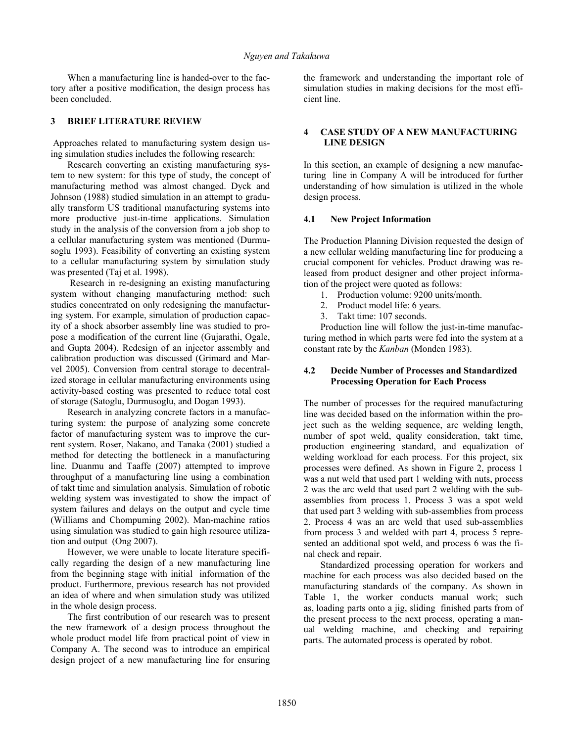When a manufacturing line is handed-over to the factory after a positive modification, the design process has been concluded.

## **3 BRIEF LITERATURE REVIEW**

 Approaches related to manufacturing system design using simulation studies includes the following research:

Research converting an existing manufacturing system to new system: for this type of study, the concept of manufacturing method was almost changed. Dyck and Johnson (1988) studied simulation in an attempt to gradually transform US traditional manufacturing systems into more productive just-in-time applications. Simulation study in the analysis of the conversion from a job shop to a cellular manufacturing system was mentioned (Durmusoglu 1993). Feasibility of converting an existing system to a cellular manufacturing system by simulation study was presented (Taj et al. 1998).

 Research in re-designing an existing manufacturing system without changing manufacturing method: such studies concentrated on only redesigning the manufacturing system. For example, simulation of production capacity of a shock absorber assembly line was studied to propose a modification of the current line (Gujarathi, Ogale, and Gupta 2004). Redesign of an injector assembly and calibration production was discussed (Grimard and Marvel 2005). Conversion from central storage to decentralized storage in cellular manufacturing environments using activity-based costing was presented to reduce total cost of storage (Satoglu, Durmusoglu, and Dogan 1993).

Research in analyzing concrete factors in a manufacturing system: the purpose of analyzing some concrete factor of manufacturing system was to improve the current system. Roser, Nakano, and Tanaka (2001) studied a method for detecting the bottleneck in a manufacturing line. Duanmu and Taaffe (2007) attempted to improve throughput of a manufacturing line using a combination of takt time and simulation analysis. Simulation of robotic welding system was investigated to show the impact of system failures and delays on the output and cycle time (Williams and Chompuming 2002). Man-machine ratios using simulation was studied to gain high resource utilization and output (Ong 2007).

However, we were unable to locate literature specifically regarding the design of a new manufacturing line from the beginning stage with initial information of the product. Furthermore, previous research has not provided an idea of where and when simulation study was utilized in the whole design process.

The first contribution of our research was to present the new framework of a design process throughout the whole product model life from practical point of view in Company A. The second was to introduce an empirical design project of a new manufacturing line for ensuring the framework and understanding the important role of simulation studies in making decisions for the most efficient line.

# **4 CASE STUDY OF A NEW MANUFACTURING LINE DESIGN**

In this section, an example of designing a new manufacturing line in Company A will be introduced for further understanding of how simulation is utilized in the whole design process.

# **4.1 New Project Information**

The Production Planning Division requested the design of a new cellular welding manufacturing line for producing a crucial component for vehicles. Product drawing was released from product designer and other project information of the project were quoted as follows:

- 1. Production volume: 9200 units/month.
- 2. Product model life: 6 years.
- Takt time: 107 seconds.

Production line will follow the just-in-time manufacturing method in which parts were fed into the system at a constant rate by the *Kanban* (Monden 1983).

## **4.2 Decide Number of Processes and Standardized Processing Operation for Each Process**

The number of processes for the required manufacturing line was decided based on the information within the project such as the welding sequence, arc welding length, number of spot weld, quality consideration, takt time, production engineering standard, and equalization of welding workload for each process. For this project, six processes were defined. As shown in Figure 2, process 1 was a nut weld that used part 1 welding with nuts, process 2 was the arc weld that used part 2 welding with the subassemblies from process 1. Process 3 was a spot weld that used part 3 welding with sub-assemblies from process 2. Process 4 was an arc weld that used sub-assemblies from process 3 and welded with part 4, process 5 represented an additional spot weld, and process 6 was the final check and repair.

Standardized processing operation for workers and machine for each process was also decided based on the manufacturing standards of the company. As shown in Table 1, the worker conducts manual work; such as, loading parts onto a jig, sliding finished parts from of the present process to the next process, operating a manual welding machine, and checking and repairing parts. The automated process is operated by robot.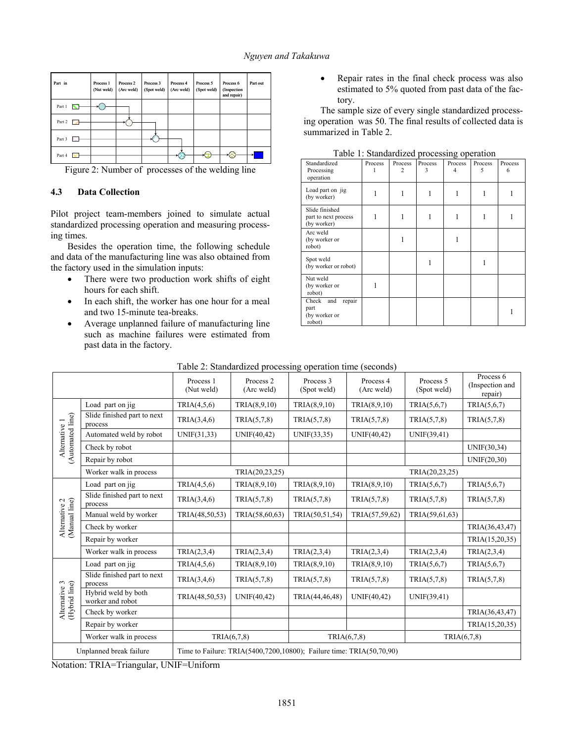## *Nguyen and Takakuwa*

| Part in             | Process <sub>1</sub><br>(Nut weld) | Process <sub>2</sub><br>(Arc weld) | Process <sub>3</sub><br>(Spot weld) | Process 4<br>(Arc weld) | Process 5<br>(Spot weld) | Process 6<br>(Inspection<br>and repair) | Part out |
|---------------------|------------------------------------|------------------------------------|-------------------------------------|-------------------------|--------------------------|-----------------------------------------|----------|
| Part 1<br><b>NO</b> |                                    |                                    |                                     |                         |                          |                                         |          |
| Part 2              |                                    |                                    |                                     |                         |                          |                                         |          |
| Part 3<br>H.        |                                    |                                    |                                     |                         |                          |                                         |          |
| Part 4              |                                    |                                    |                                     |                         |                          |                                         |          |

Figure 2: Number of processes of the welding line

# **4.3 Data Collection**

Pilot project team-members joined to simulate actual standardized processing operation and measuring processing times.

Besides the operation time, the following schedule and data of the manufacturing line was also obtained from the factory used in the simulation inputs:

- There were two production work shifts of eight hours for each shift.
- In each shift, the worker has one hour for a meal and two 15-minute tea-breaks.
- Average unplanned failure of manufacturing line such as machine failures were estimated from past data in the factory.

• Repair rates in the final check process was also estimated to 5% quoted from past data of the factory.

 The sample size of every single standardized processing operation was 50. The final results of collected data is summarized in Table 2.

| Table 1: Standardized processing operation |  |
|--------------------------------------------|--|

| -0                                                        |         |              |              |              |              |              |
|-----------------------------------------------------------|---------|--------------|--------------|--------------|--------------|--------------|
| Standardized<br>Processing<br>operation                   | Process | Process<br>2 | Process<br>3 | Process<br>4 | Process<br>5 | Process<br>6 |
| Load part on jig<br>(by worker)                           | 1       | 1            |              |              |              |              |
| Slide finished<br>part to next process<br>(by worker)     |         |              |              |              |              |              |
| Arc weld<br>(by worker or<br>robot)                       |         |              |              |              |              |              |
| Spot weld<br>(by worker or robot)                         |         |              |              |              |              |              |
| Nut weld<br>(by worker or<br>robot)                       |         |              |              |              |              |              |
| Check<br>and<br>repair<br>part<br>(by worker or<br>robot) |         |              |              |              |              |              |

|                                | $1$ abre $2$ . Blandardized processing operation three (seconds) |                                                                      |                                    |                          |                         |                          |                                         |
|--------------------------------|------------------------------------------------------------------|----------------------------------------------------------------------|------------------------------------|--------------------------|-------------------------|--------------------------|-----------------------------------------|
|                                |                                                                  | Process 1<br>(Nut weld)                                              | Process <sub>2</sub><br>(Arc weld) | Process 3<br>(Spot weld) | Process 4<br>(Arc weld) | Process 5<br>(Spot weld) | Process 6<br>(Inspection and<br>repair) |
| (Automated line)               | Load part on jig                                                 | TRIA(4,5,6)                                                          | TRIA(8,9,10)                       | TRIA(8,9,10)             | TRIA(8,9,10)            | TRIA(5,6,7)              | TRIA(5,6,7)                             |
|                                | Slide finished part to next<br>process                           | TRIA(3,4,6)                                                          | TRIA(5,7,8)                        | TRIA(5,7,8)              | TRIA(5,7,8)             | TRIA(5,7,8)              | TRIA(5,7,8)                             |
|                                | Automated weld by robot                                          | UNIF(31,33)                                                          | UNIF(40,42)                        | UNIF(33,35)              | UNIF(40,42)             | UNIF(39,41)              |                                         |
| Alternative 1                  | Check by robot                                                   |                                                                      |                                    |                          |                         |                          | UNIF(30,34)                             |
|                                | Repair by robot                                                  |                                                                      |                                    |                          |                         |                          | UNIF(20,30)                             |
|                                | Worker walk in process                                           |                                                                      | TRIA(20,23,25)                     |                          |                         | TRIA(20,23,25)           |                                         |
|                                | Load part on jig                                                 | TRIA(4,5,6)                                                          | TRIA(8,9,10)                       | TRIA(8,9,10)             | TRIA(8,9,10)            | TRIA(5,6,7)              | TRIA(5,6,7)                             |
| Alternative 2<br>(Manual line) | Slide finished part to next<br>process                           | TRIA(3,4,6)                                                          | TRIA(5,7,8)                        | TRIA(5,7,8)              | TRIA(5,7,8)             | TRIA(5,7,8)              | TRIA(5,7,8)                             |
|                                | Manual weld by worker                                            | TRIA(48,50,53)                                                       | TRIA(58,60,63)                     | TRIA(50,51,54)           | TRIA(57,59,62)          | TRIA(59,61,63)           |                                         |
|                                | Check by worker                                                  |                                                                      |                                    |                          |                         |                          | TRIA(36,43,47)                          |
|                                | Repair by worker                                                 |                                                                      |                                    |                          |                         |                          | TRIA(15,20,35)                          |
|                                | Worker walk in process                                           | TRIA(2,3,4)                                                          | TRIA(2,3,4)                        | TRIA(2,3,4)              | TRIA(2,3,4)             | TRIA(2,3,4)              | TRIA(2,3,4)                             |
|                                | Load part on jig                                                 | TRIA(4,5,6)                                                          | TRIA(8,9,10)                       | TRIA(8,9,10)             | TRIA(8,9,10)            | TRIA(5,6,7)              | TRIA(5,6,7)                             |
|                                | Slide finished part to next<br>process                           | TRIA(3,4,6)                                                          | TRIA(5,7,8)                        | TRIA(5,7,8)              | TRIA(5,7,8)             | TRIA(5,7,8)              | TRIA(5,7,8)                             |
| Alternative 3<br>(Hybrid line) | Hybrid weld by both<br>worker and robot                          | TRIA(48,50,53)                                                       | UNIF(40,42)                        | TRIA(44,46,48)           | UNIF(40,42)             | UNIF(39,41)              |                                         |
|                                | Check by worker                                                  |                                                                      |                                    |                          |                         |                          | TRIA(36,43,47)                          |
|                                | Repair by worker                                                 |                                                                      |                                    |                          |                         |                          | TRIA(15,20,35)                          |
|                                | Worker walk in process                                           | TRIA(6,7,8)                                                          |                                    |                          | TRIA(6,7,8)             |                          | TRIA(6,7,8)                             |
| Unplanned break failure        |                                                                  | Time to Failure: TRIA(5400,7200,10800); Failure time: TRIA(50,70,90) |                                    |                          |                         |                          |                                         |

| Table 2: Standardized processing operation time (seconds) |  |  |
|-----------------------------------------------------------|--|--|
|                                                           |  |  |
|                                                           |  |  |

Notation: TRIA=Triangular, UNIF=Uniform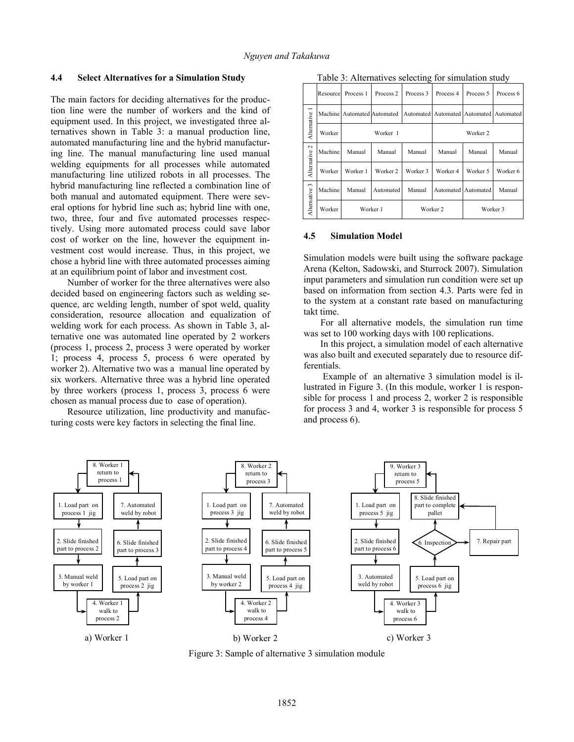#### **4.4 Select Alternatives for a Simulation Study**

The main factors for deciding alternatives for the production line were the number of workers and the kind of equipment used. In this project, we investigated three alternatives shown in Table 3: a manual production line, automated manufacturing line and the hybrid manufacturing line. The manual manufacturing line used manual welding equipments for all processes while automated manufacturing line utilized robots in all processes. The hybrid manufacturing line reflected a combination line of both manual and automated equipment. There were several options for hybrid line such as; hybrid line with one, two, three, four and five automated processes respectively. Using more automated process could save labor cost of worker on the line, however the equipment investment cost would increase. Thus, in this project, we chose a hybrid line with three automated processes aiming at an equilibrium point of labor and investment cost.

Number of worker for the three alternatives were also decided based on engineering factors such as welding sequence, arc welding length, number of spot weld, quality consideration, resource allocation and equalization of welding work for each process. As shown in Table 3, alternative one was automated line operated by 2 workers (process 1, process 2, process 3 were operated by worker 1; process 4, process 5, process 6 were operated by worker 2). Alternative two was a manual line operated by six workers. Alternative three was a hybrid line operated by three workers (process 1, process 3, process 6 were chosen as manual process due to ease of operation).

Resource utilization, line productivity and manufacturing costs were key factors in selecting the final line.

Table 3: Alternatives selecting for simulation study

|               | Resource | Process 1                   | Process <sub>2</sub> | Process 3 | Process 4 | Process <sub>5</sub>                    | Process 6 |  |
|---------------|----------|-----------------------------|----------------------|-----------|-----------|-----------------------------------------|-----------|--|
| Alternative 1 |          | Machine Automated Automated |                      |           |           | Automated Automated Automated Automated |           |  |
|               | Worker   |                             | Worker 1             |           | Worker 2  |                                         |           |  |
| Alternative 2 | Machine  | Manual                      | Manual               | Manual    | Manual    | Manual                                  | Manual    |  |
|               | Worker   | Worker 1                    | Worker 2             | Worker 3  | Worker 4  | Worker 5                                | Worker 6  |  |
| Alternative 3 | Machine  | Manual                      | Automated            | Manual    |           | Automated Automated                     | Manual    |  |
|               | Worker   | Worker 1                    |                      |           | Worker 2  | Worker 3                                |           |  |

#### **4.5 Simulation Model**

Simulation models were built using the software package Arena (Kelton, Sadowski, and Sturrock 2007). Simulation input parameters and simulation run condition were set up based on information from section 4.3. Parts were fed in to the system at a constant rate based on manufacturing takt time.

For all alternative models, the simulation run time was set to 100 working days with 100 replications.

In this project, a simulation model of each alternative was also built and executed separately due to resource differentials.

 Example of an alternative 3 simulation model is illustrated in Figure 3. (In this module, worker 1 is responsible for process 1 and process 2, worker 2 is responsible for process 3 and 4, worker 3 is responsible for process 5 and process 6).



Figure 3: Sample of alternative 3 simulation module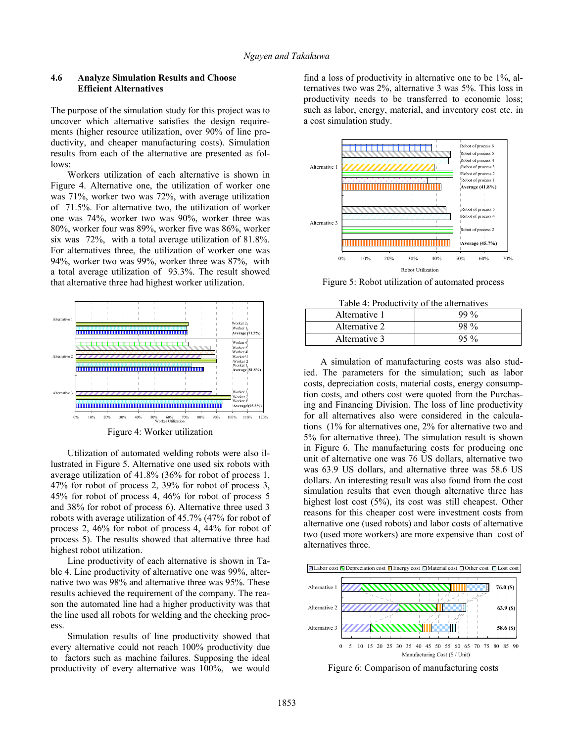#### **4.6 Analyze Simulation Results and Choose Efficient Alternatives**

The purpose of the simulation study for this project was to uncover which alternative satisfies the design requirements (higher resource utilization, over 90% of line productivity, and cheaper manufacturing costs). Simulation results from each of the alternative are presented as follows:

Workers utilization of each alternative is shown in Figure 4. Alternative one, the utilization of worker one was 71%, worker two was 72%, with average utilization of 71.5%. For alternative two, the utilization of worker one was 74%, worker two was 90%, worker three was 80%, worker four was 89%, worker five was 86%, worker six was 72%, with a total average utilization of 81.8%. For alternatives three, the utilization of worker one was 94%, worker two was 99%, worker three was 87%, with a total average utilization of 93.3%. The result showed that alternative three had highest worker utilization.



Utilization of automated welding robots were also illustrated in Figure 5. Alternative one used six robots with average utilization of 41.8% (36% for robot of process 1, 47% for robot of process 2, 39% for robot of process 3, 45% for robot of process 4, 46% for robot of process 5 and 38% for robot of process 6). Alternative three used 3 robots with average utilization of 45.7% (47% for robot of process 2, 46% for robot of process 4, 44% for robot of process 5). The results showed that alternative three had highest robot utilization.

Line productivity of each alternative is shown in Table 4. Line productivity of alternative one was 99%, alternative two was 98% and alternative three was 95%. These results achieved the requirement of the company. The reason the automated line had a higher productivity was that the line used all robots for welding and the checking process.

Simulation results of line productivity showed that every alternative could not reach 100% productivity due to factors such as machine failures. Supposing the ideal productivity of every alternative was 100%, we would

find a loss of productivity in alternative one to be 1%, alternatives two was 2%, alternative 3 was 5%. This loss in productivity needs to be transferred to economic loss; such as labor, energy, material, and inventory cost etc. in a cost simulation study.



Figure 5: Robot utilization of automated process

| Table 4: Productivity of the alternatives |        |  |  |  |
|-------------------------------------------|--------|--|--|--|
| Alternative 1                             | $99\%$ |  |  |  |
| Alternative 2                             | $98\%$ |  |  |  |
| Alternative 3                             | $95\%$ |  |  |  |

A simulation of manufacturing costs was also studied. The parameters for the simulation; such as labor costs, depreciation costs, material costs, energy consumption costs, and others cost were quoted from the Purchasing and Financing Division. The loss of line productivity for all alternatives also were considered in the calculations (1% for alternatives one, 2% for alternative two and 5% for alternative three). The simulation result is shown in Figure 6. The manufacturing costs for producing one unit of alternative one was 76 US dollars, alternative two was 63.9 US dollars, and alternative three was 58.6 US dollars. An interesting result was also found from the cost simulation results that even though alternative three has highest lost cost (5%), its cost was still cheapest. Other reasons for this cheaper cost were investment costs from alternative one (used robots) and labor costs of alternative two (used more workers) are more expensive than cost of alternatives three.



Figure 6: Comparison of manufacturing costs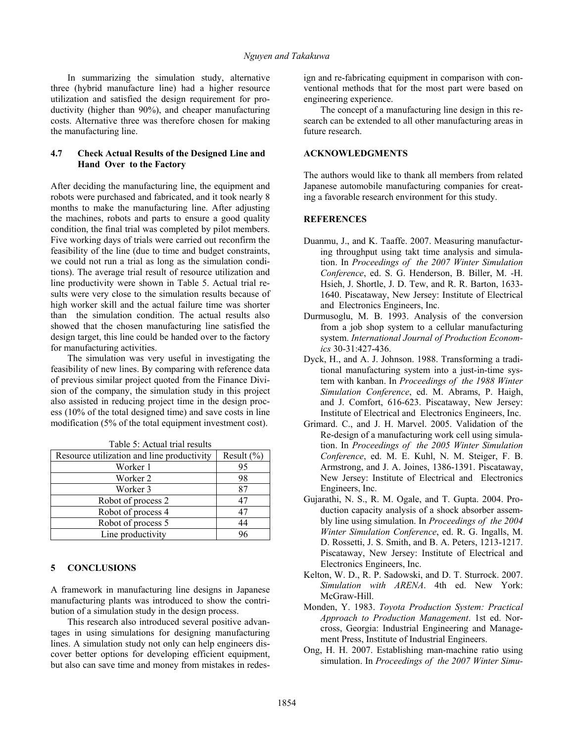In summarizing the simulation study, alternative three (hybrid manufacture line) had a higher resource utilization and satisfied the design requirement for productivity (higher than 90%), and cheaper manufacturing costs. Alternative three was therefore chosen for making the manufacturing line.

# **4.7 Check Actual Results of the Designed Line and Hand Over to the Factory**

After deciding the manufacturing line, the equipment and robots were purchased and fabricated, and it took nearly 8 months to make the manufacturing line. After adjusting the machines, robots and parts to ensure a good quality condition, the final trial was completed by pilot members. Five working days of trials were carried out reconfirm the feasibility of the line (due to time and budget constraints, we could not run a trial as long as the simulation conditions). The average trial result of resource utilization and line productivity were shown in Table 5. Actual trial results were very close to the simulation results because of high worker skill and the actual failure time was shorter than the simulation condition. The actual results also showed that the chosen manufacturing line satisfied the design target, this line could be handed over to the factory for manufacturing activities.

The simulation was very useful in investigating the feasibility of new lines. By comparing with reference data of previous similar project quoted from the Finance Division of the company, the simulation study in this project also assisted in reducing project time in the design process (10% of the total designed time) and save costs in line modification (5% of the total equipment investment cost).

| Resource utilization and line productivity | Result $(\% )$ |
|--------------------------------------------|----------------|
| Worker 1                                   | 95             |
| Worker 2                                   | 98             |
| Worker 3                                   | 87             |
| Robot of process 2                         | 47             |
| Robot of process 4                         | 47             |
| Robot of process 5                         | 44             |
| Line productivity                          |                |

Table 5: Actual trial results

# **5 CONCLUSIONS**

A framework in manufacturing line designs in Japanese manufacturing plants was introduced to show the contribution of a simulation study in the design process.

This research also introduced several positive advantages in using simulations for designing manufacturing lines. A simulation study not only can help engineers discover better options for developing efficient equipment, but also can save time and money from mistakes in redesign and re-fabricating equipment in comparison with conventional methods that for the most part were based on engineering experience.

The concept of a manufacturing line design in this research can be extended to all other manufacturing areas in future research.

# **ACKNOWLEDGMENTS**

The authors would like to thank all members from related Japanese automobile manufacturing companies for creating a favorable research environment for this study.

### **REFERENCES**

- Duanmu, J., and K. Taaffe. 2007. Measuring manufacturing throughput using takt time analysis and simulation. In *Proceedings of the 2007 Winter Simulation Conference*, ed. S. G. Henderson, B. Biller, M. -H. Hsieh, J. Shortle, J. D. Tew, and R. R. Barton, 1633- 1640. Piscataway, New Jersey: Institute of Electrical and Electronics Engineers, Inc.
- Durmusoglu, M. B. 1993. Analysis of the conversion from a job shop system to a cellular manufacturing system. *International Journal of Production Economics* 30-31:427-436.
- Dyck, H., and A. J. Johnson. 1988. Transforming a traditional manufacturing system into a just-in-time system with kanban. In *Proceedings of the 1988 Winter Simulation Conference*, ed. M. Abrams, P. Haigh, and J. Comfort, 616-623. Piscataway, New Jersey: Institute of Electrical and Electronics Engineers, Inc.
- Grimard. C., and J. H. Marvel. 2005. Validation of the Re-design of a manufacturing work cell using simulation. In *Proceedings of the 2005 Winter Simulation Conference*, ed. M. E. Kuhl, N. M. Steiger, F. B. Armstrong, and J. A. Joines, 1386-1391. Piscataway, New Jersey: Institute of Electrical and Electronics Engineers, Inc.
- Gujarathi, N. S., R. M. Ogale, and T. Gupta. 2004. Production capacity analysis of a shock absorber assembly line using simulation. In *Proceedings of the 2004 Winter Simulation Conference*, ed. R. G. Ingalls, M. D. Rossetti, J. S. Smith, and B. A. Peters, 1213-1217. Piscataway, New Jersey: Institute of Electrical and Electronics Engineers, Inc.
- Kelton, W. D., R. P. Sadowski, and D. T. Sturrock. 2007. *Simulation with ARENA*. 4th ed. New York: McGraw-Hill.
- Monden, Y. 1983. *Toyota Production System: Practical Approach to Production Management*. 1st ed. Norcross, Georgia: Industrial Engineering and Management Press, Institute of Industrial Engineers.
- Ong, H. H. 2007. Establishing man-machine ratio using simulation. In *Proceedings of the 2007 Winter Simu-*